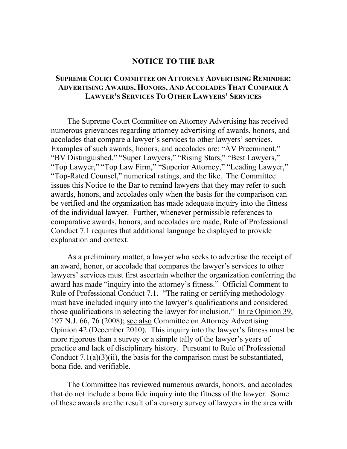## **NOTICE TO THE BAR**

## **SUPREME COURT COMMITTEE ON ATTORNEY ADVERTISING REMINDER: ADVERTISING AWARDS, HONORS, AND ACCOLADES THAT COMPARE A LAWYER'S SERVICES TO OTHER LAWYERS' SERVICES**

The Supreme Court Committee on Attorney Advertising has received numerous grievances regarding attorney advertising of awards, honors, and accolades that compare a lawyer's services to other lawyers' services. Examples of such awards, honors, and accolades are: "AV Preeminent," "BV Distinguished," "Super Lawyers," "Rising Stars," "Best Lawyers," "Top Lawyer," "Top Law Firm," "Superior Attorney," "Leading Lawyer," "Top-Rated Counsel," numerical ratings, and the like. The Committee issues this Notice to the Bar to remind lawyers that they may refer to such awards, honors, and accolades only when the basis for the comparison can be verified and the organization has made adequate inquiry into the fitness of the individual lawyer. Further, whenever permissible references to comparative awards, honors, and accolades are made, Rule of Professional Conduct 7.1 requires that additional language be displayed to provide explanation and context.

As a preliminary matter, a lawyer who seeks to advertise the receipt of an award, honor, or accolade that compares the lawyer's services to other lawyers' services must first ascertain whether the organization conferring the award has made "inquiry into the attorney's fitness." Official Comment to Rule of Professional Conduct 7.1. "The rating or certifying methodology must have included inquiry into the lawyer's qualifications and considered those qualifications in selecting the lawyer for inclusion." In re Opinion 39, 197 N.J. 66, 76 (2008); see also Committee on Attorney Advertising Opinion 42 (December 2010). This inquiry into the lawyer's fitness must be more rigorous than a survey or a simple tally of the lawyer's years of practice and lack of disciplinary history. Pursuant to Rule of Professional Conduct  $7.1(a)(3)(ii)$ , the basis for the comparison must be substantiated, bona fide, and verifiable.

The Committee has reviewed numerous awards, honors, and accolades that do not include a bona fide inquiry into the fitness of the lawyer. Some of these awards are the result of a cursory survey of lawyers in the area with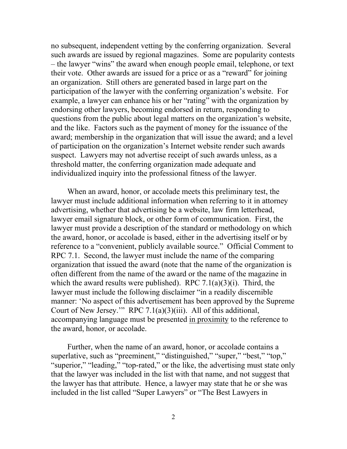no subsequent, independent vetting by the conferring organization. Several such awards are issued by regional magazines. Some are popularity contests – the lawyer "wins" the award when enough people email, telephone, or text their vote. Other awards are issued for a price or as a "reward" for joining an organization. Still others are generated based in large part on the participation of the lawyer with the conferring organization's website. For example, a lawyer can enhance his or her "rating" with the organization by endorsing other lawyers, becoming endorsed in return, responding to questions from the public about legal matters on the organization's website, and the like. Factors such as the payment of money for the issuance of the award; membership in the organization that will issue the award; and a level of participation on the organization's Internet website render such awards suspect. Lawyers may not advertise receipt of such awards unless, as a threshold matter, the conferring organization made adequate and individualized inquiry into the professional fitness of the lawyer.

When an award, honor, or accolade meets this preliminary test, the lawyer must include additional information when referring to it in attorney advertising, whether that advertising be a website, law firm letterhead, lawyer email signature block, or other form of communication. First, the lawyer must provide a description of the standard or methodology on which the award, honor, or accolade is based, either in the advertising itself or by reference to a "convenient, publicly available source." Official Comment to RPC 7.1. Second, the lawyer must include the name of the comparing organization that issued the award (note that the name of the organization is often different from the name of the award or the name of the magazine in which the award results were published). RPC  $7.1(a)(3)(i)$ . Third, the lawyer must include the following disclaimer "in a readily discernible manner: 'No aspect of this advertisement has been approved by the Supreme Court of New Jersey.'" RPC 7.1(a)(3)(iii). All of this additional, accompanying language must be presented in proximity to the reference to the award, honor, or accolade.

Further, when the name of an award, honor, or accolade contains a superlative, such as "preeminent," "distinguished," "super," "best," "top," "superior," "leading," "top-rated," or the like, the advertising must state only that the lawyer was included in the list with that name, and not suggest that the lawyer has that attribute. Hence, a lawyer may state that he or she was included in the list called "Super Lawyers" or "The Best Lawyers in